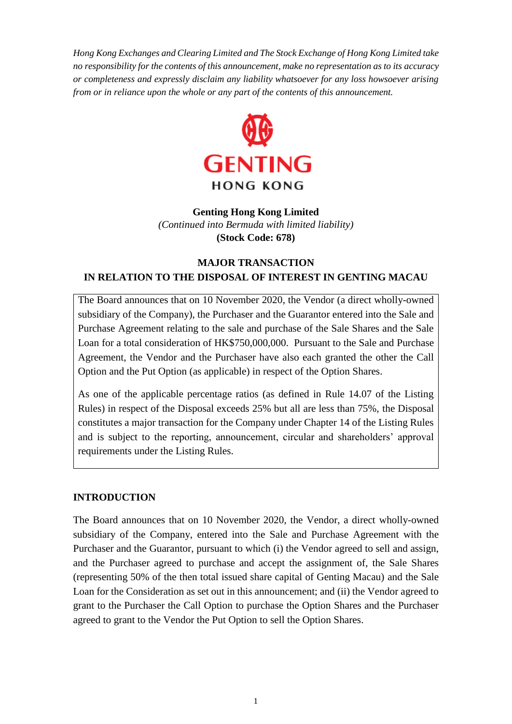*Hong Kong Exchanges and Clearing Limited and The Stock Exchange of Hong Kong Limited take no responsibility for the contents of this announcement, make no representation as to its accuracy or completeness and expressly disclaim any liability whatsoever for any loss howsoever arising from or in reliance upon the whole or any part of the contents of this announcement.*



# **Genting Hong Kong Limited**  *(Continued into Bermuda with limited liability)* **(Stock Code: 678)**

# **MAJOR TRANSACTION IN RELATION TO THE DISPOSAL OF INTEREST IN GENTING MACAU**

The Board announces that on 10 November 2020, the Vendor (a direct wholly-owned subsidiary of the Company), the Purchaser and the Guarantor entered into the Sale and Purchase Agreement relating to the sale and purchase of the Sale Shares and the Sale Loan for a total consideration of HK\$750,000,000. Pursuant to the Sale and Purchase Agreement, the Vendor and the Purchaser have also each granted the other the Call Option and the Put Option (as applicable) in respect of the Option Shares.

As one of the applicable percentage ratios (as defined in Rule 14.07 of the Listing Rules) in respect of the Disposal exceeds 25% but all are less than 75%, the Disposal constitutes a major transaction for the Company under Chapter 14 of the Listing Rules and is subject to the reporting, announcement, circular and shareholders' approval requirements under the Listing Rules.

#### **INTRODUCTION**

The Board announces that on 10 November 2020, the Vendor, a direct wholly-owned subsidiary of the Company, entered into the Sale and Purchase Agreement with the Purchaser and the Guarantor, pursuant to which (i) the Vendor agreed to sell and assign, and the Purchaser agreed to purchase and accept the assignment of, the Sale Shares (representing 50% of the then total issued share capital of Genting Macau) and the Sale Loan for the Consideration as set out in this announcement; and (ii) the Vendor agreed to grant to the Purchaser the Call Option to purchase the Option Shares and the Purchaser agreed to grant to the Vendor the Put Option to sell the Option Shares.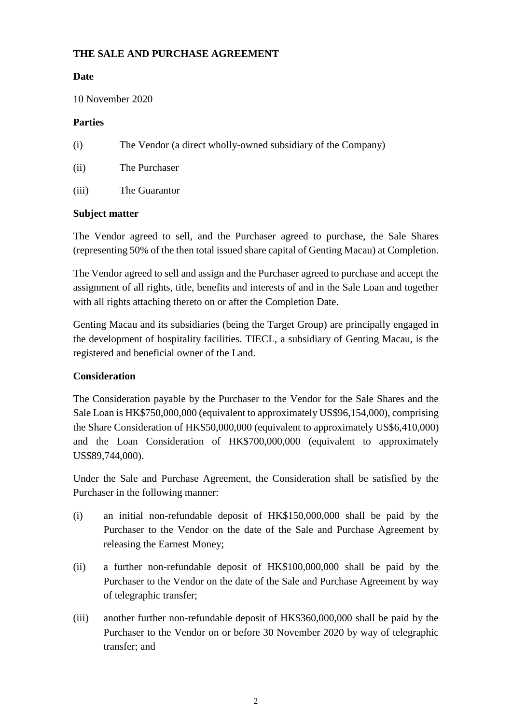### **THE SALE AND PURCHASE AGREEMENT**

### **Date**

10 November 2020

#### **Parties**

- (i) The Vendor (a direct wholly-owned subsidiary of the Company)
- (ii) The Purchaser
- (iii) The Guarantor

#### **Subject matter**

The Vendor agreed to sell, and the Purchaser agreed to purchase, the Sale Shares (representing 50% of the then total issued share capital of Genting Macau) at Completion.

The Vendor agreed to sell and assign and the Purchaser agreed to purchase and accept the assignment of all rights, title, benefits and interests of and in the Sale Loan and together with all rights attaching thereto on or after the Completion Date.

Genting Macau and its subsidiaries (being the Target Group) are principally engaged in the development of hospitality facilities. TIECL, a subsidiary of Genting Macau, is the registered and beneficial owner of the Land.

# **Consideration**

The Consideration payable by the Purchaser to the Vendor for the Sale Shares and the Sale Loan is HK\$750,000,000 (equivalent to approximately US\$96,154,000), comprising the Share Consideration of HK\$50,000,000 (equivalent to approximately US\$6,410,000) and the Loan Consideration of HK\$700,000,000 (equivalent to approximately US\$89,744,000).

Under the Sale and Purchase Agreement, the Consideration shall be satisfied by the Purchaser in the following manner:

- (i) an initial non-refundable deposit of HK\$150,000,000 shall be paid by the Purchaser to the Vendor on the date of the Sale and Purchase Agreement by releasing the Earnest Money;
- (ii) a further non-refundable deposit of HK\$100,000,000 shall be paid by the Purchaser to the Vendor on the date of the Sale and Purchase Agreement by way of telegraphic transfer;
- (iii) another further non-refundable deposit of HK\$360,000,000 shall be paid by the Purchaser to the Vendor on or before 30 November 2020 by way of telegraphic transfer; and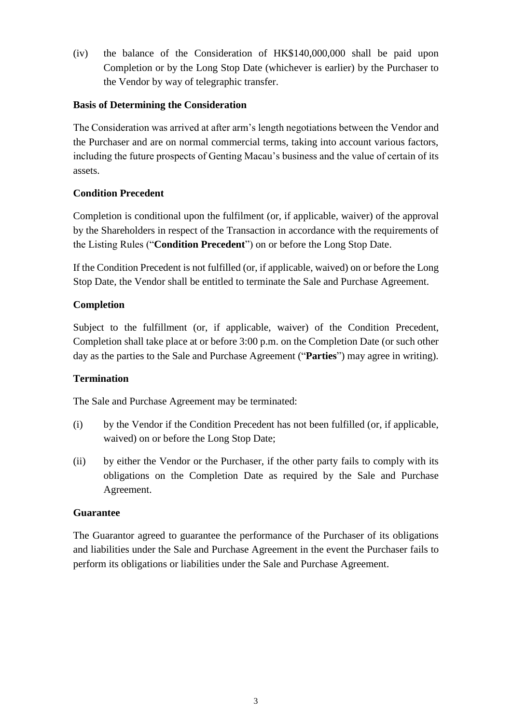(iv) the balance of the Consideration of HK\$140,000,000 shall be paid upon Completion or by the Long Stop Date (whichever is earlier) by the Purchaser to the Vendor by way of telegraphic transfer.

#### **Basis of Determining the Consideration**

The Consideration was arrived at after arm's length negotiations between the Vendor and the Purchaser and are on normal commercial terms, taking into account various factors, including the future prospects of Genting Macau's business and the value of certain of its assets.

# **Condition Precedent**

Completion is conditional upon the fulfilment (or, if applicable, waiver) of the approval by the Shareholders in respect of the Transaction in accordance with the requirements of the Listing Rules ("**Condition Precedent**") on or before the Long Stop Date.

If the Condition Precedent is not fulfilled (or, if applicable, waived) on or before the Long Stop Date, the Vendor shall be entitled to terminate the Sale and Purchase Agreement.

### **Completion**

Subject to the fulfillment (or, if applicable, waiver) of the Condition Precedent, Completion shall take place at or before 3:00 p.m. on the Completion Date (or such other day as the parties to the Sale and Purchase Agreement ("**Parties**") may agree in writing).

# **Termination**

The Sale and Purchase Agreement may be terminated:

- (i) by the Vendor if the Condition Precedent has not been fulfilled (or, if applicable, waived) on or before the Long Stop Date;
- (ii) by either the Vendor or the Purchaser, if the other party fails to comply with its obligations on the Completion Date as required by the Sale and Purchase Agreement.

#### **Guarantee**

The Guarantor agreed to guarantee the performance of the Purchaser of its obligations and liabilities under the Sale and Purchase Agreement in the event the Purchaser fails to perform its obligations or liabilities under the Sale and Purchase Agreement.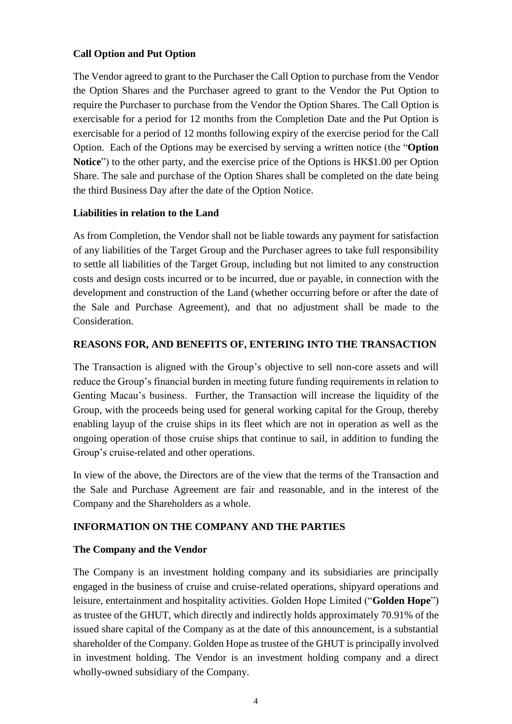### **Call Option and Put Option**

The Vendor agreed to grant to the Purchaser the Call Option to purchase from the Vendor the Option Shares and the Purchaser agreed to grant to the Vendor the Put Option to require the Purchaser to purchase from the Vendor the Option Shares. The Call Option is exercisable for a period for 12 months from the Completion Date and the Put Option is exercisable for a period of 12 months following expiry of the exercise period for the Call Option. Each of the Options may be exercised by serving a written notice (the "**Option Notice**") to the other party, and the exercise price of the Options is HK\$1.00 per Option Share. The sale and purchase of the Option Shares shall be completed on the date being the third Business Day after the date of the Option Notice.

#### **Liabilities in relation to the Land**

As from Completion, the Vendor shall not be liable towards any payment for satisfaction of any liabilities of the Target Group and the Purchaser agrees to take full responsibility to settle all liabilities of the Target Group, including but not limited to any construction costs and design costs incurred or to be incurred, due or payable, in connection with the development and construction of the Land (whether occurring before or after the date of the Sale and Purchase Agreement), and that no adjustment shall be made to the Consideration.

### **REASONS FOR, AND BENEFITS OF, ENTERING INTO THE TRANSACTION**

The Transaction is aligned with the Group's objective to sell non-core assets and will reduce the Group's financial burden in meeting future funding requirements in relation to Genting Macau's business. Further, the Transaction will increase the liquidity of the Group, with the proceeds being used for general working capital for the Group, thereby enabling layup of the cruise ships in its fleet which are not in operation as well as the ongoing operation of those cruise ships that continue to sail, in addition to funding the Group's cruise-related and other operations.

In view of the above, the Directors are of the view that the terms of the Transaction and the Sale and Purchase Agreement are fair and reasonable, and in the interest of the Company and the Shareholders as a whole.

# **INFORMATION ON THE COMPANY AND THE PARTIES**

#### **The Company and the Vendor**

The Company is an investment holding company and its subsidiaries are principally engaged in the business of cruise and cruise-related operations, shipyard operations and leisure, entertainment and hospitality activities. Golden Hope Limited ("**Golden Hope**") as trustee of the GHUT, which directly and indirectly holds approximately 70.91% of the issued share capital of the Company as at the date of this announcement, is a substantial shareholder of the Company. Golden Hope as trustee of the GHUT is principally involved in investment holding. The Vendor is an investment holding company and a direct wholly-owned subsidiary of the Company.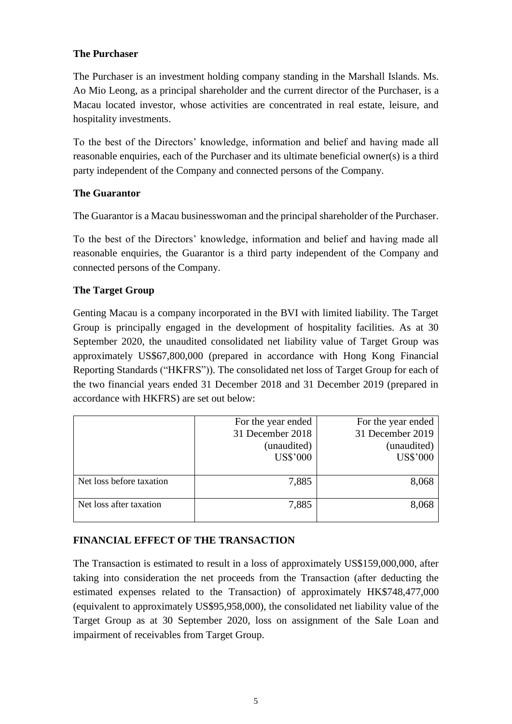### **The Purchaser**

The Purchaser is an investment holding company standing in the Marshall Islands. Ms. Ao Mio Leong, as a principal shareholder and the current director of the Purchaser, is a Macau located investor, whose activities are concentrated in real estate, leisure, and hospitality investments.

To the best of the Directors' knowledge, information and belief and having made all reasonable enquiries, each of the Purchaser and its ultimate beneficial owner(s) is a third party independent of the Company and connected persons of the Company.

# **The Guarantor**

The Guarantor is a Macau businesswoman and the principal shareholder of the Purchaser.

To the best of the Directors' knowledge, information and belief and having made all reasonable enquiries, the Guarantor is a third party independent of the Company and connected persons of the Company.

### **The Target Group**

Genting Macau is a company incorporated in the BVI with limited liability. The Target Group is principally engaged in the development of hospitality facilities. As at 30 September 2020, the unaudited consolidated net liability value of Target Group was approximately US\$67,800,000 (prepared in accordance with Hong Kong Financial Reporting Standards ("HKFRS")). The consolidated net loss of Target Group for each of the two financial years ended 31 December 2018 and 31 December 2019 (prepared in accordance with HKFRS) are set out below:

|                          | For the year ended<br>31 December 2018<br>(unaudited)<br><b>US\$'000</b> | For the year ended<br>31 December 2019<br>(unaudited)<br><b>US\$'000</b> |
|--------------------------|--------------------------------------------------------------------------|--------------------------------------------------------------------------|
| Net loss before taxation | 7,885                                                                    | 8,068                                                                    |
| Net loss after taxation  | 7,885                                                                    | 8,068                                                                    |

# **FINANCIAL EFFECT OF THE TRANSACTION**

The Transaction is estimated to result in a loss of approximately US\$159,000,000, after taking into consideration the net proceeds from the Transaction (after deducting the estimated expenses related to the Transaction) of approximately HK\$748,477,000 (equivalent to approximately US\$95,958,000), the consolidated net liability value of the Target Group as at 30 September 2020, loss on assignment of the Sale Loan and impairment of receivables from Target Group.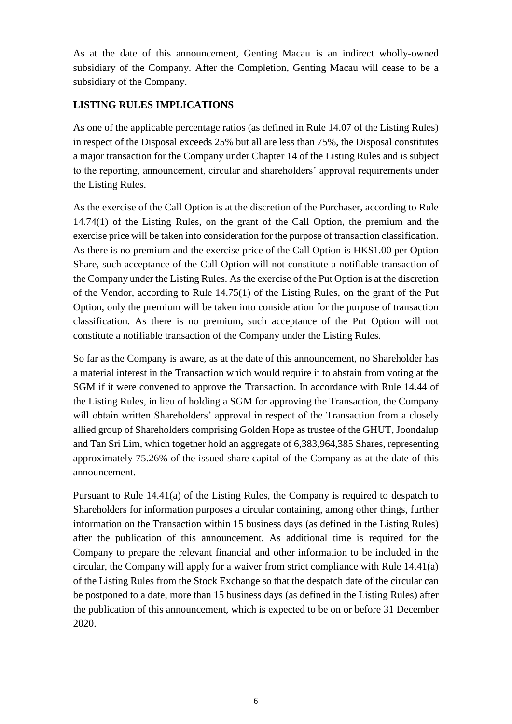As at the date of this announcement, Genting Macau is an indirect wholly-owned subsidiary of the Company. After the Completion, Genting Macau will cease to be a subsidiary of the Company.

# **LISTING RULES IMPLICATIONS**

As one of the applicable percentage ratios (as defined in Rule 14.07 of the Listing Rules) in respect of the Disposal exceeds 25% but all are less than 75%, the Disposal constitutes a major transaction for the Company under Chapter 14 of the Listing Rules and is subject to the reporting, announcement, circular and shareholders' approval requirements under the Listing Rules.

As the exercise of the Call Option is at the discretion of the Purchaser, according to Rule 14.74(1) of the Listing Rules, on the grant of the Call Option, the premium and the exercise price will be taken into consideration for the purpose of transaction classification. As there is no premium and the exercise price of the Call Option is HK\$1.00 per Option Share, such acceptance of the Call Option will not constitute a notifiable transaction of the Company under the Listing Rules. As the exercise of the Put Option is at the discretion of the Vendor, according to Rule 14.75(1) of the Listing Rules, on the grant of the Put Option, only the premium will be taken into consideration for the purpose of transaction classification. As there is no premium, such acceptance of the Put Option will not constitute a notifiable transaction of the Company under the Listing Rules.

So far as the Company is aware, as at the date of this announcement, no Shareholder has a material interest in the Transaction which would require it to abstain from voting at the SGM if it were convened to approve the Transaction. In accordance with Rule 14.44 of the Listing Rules, in lieu of holding a SGM for approving the Transaction, the Company will obtain written Shareholders' approval in respect of the Transaction from a closely allied group of Shareholders comprising Golden Hope as trustee of the GHUT, Joondalup and Tan Sri Lim, which together hold an aggregate of 6,383,964,385 Shares, representing approximately 75.26% of the issued share capital of the Company as at the date of this announcement.

Pursuant to Rule 14.41(a) of the Listing Rules, the Company is required to despatch to Shareholders for information purposes a circular containing, among other things, further information on the Transaction within 15 business days (as defined in the Listing Rules) after the publication of this announcement. As additional time is required for the Company to prepare the relevant financial and other information to be included in the circular, the Company will apply for a waiver from strict compliance with Rule 14.41(a) of the Listing Rules from the Stock Exchange so that the despatch date of the circular can be postponed to a date, more than 15 business days (as defined in the Listing Rules) after the publication of this announcement, which is expected to be on or before 31 December 2020.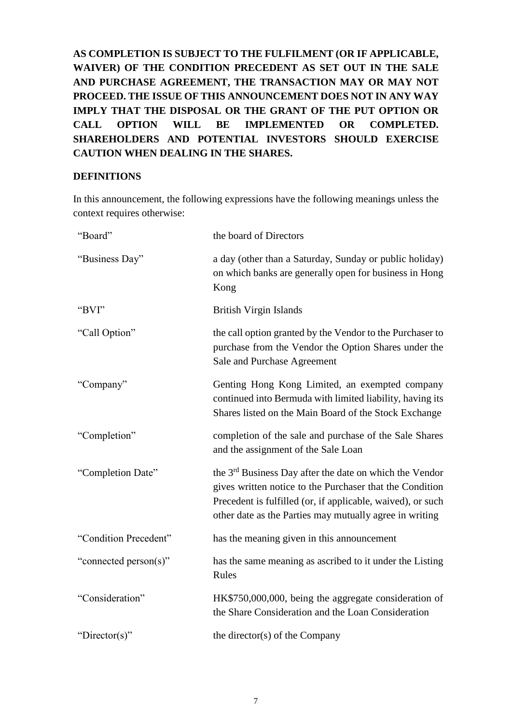**AS COMPLETION IS SUBJECT TO THE FULFILMENT (OR IF APPLICABLE, WAIVER) OF THE CONDITION PRECEDENT AS SET OUT IN THE SALE AND PURCHASE AGREEMENT, THE TRANSACTION MAY OR MAY NOT PROCEED. THE ISSUE OF THIS ANNOUNCEMENT DOES NOT IN ANY WAY IMPLY THAT THE DISPOSAL OR THE GRANT OF THE PUT OPTION OR CALL OPTION WILL BE IMPLEMENTED OR COMPLETED. SHAREHOLDERS AND POTENTIAL INVESTORS SHOULD EXERCISE CAUTION WHEN DEALING IN THE SHARES.**

### **DEFINITIONS**

In this announcement, the following expressions have the following meanings unless the context requires otherwise:

| "Board"               | the board of Directors                                                                                                                                                                                                                                    |
|-----------------------|-----------------------------------------------------------------------------------------------------------------------------------------------------------------------------------------------------------------------------------------------------------|
| "Business Day"        | a day (other than a Saturday, Sunday or public holiday)<br>on which banks are generally open for business in Hong<br>Kong                                                                                                                                 |
| "BVI"                 | <b>British Virgin Islands</b>                                                                                                                                                                                                                             |
| "Call Option"         | the call option granted by the Vendor to the Purchaser to<br>purchase from the Vendor the Option Shares under the<br>Sale and Purchase Agreement                                                                                                          |
| "Company"             | Genting Hong Kong Limited, an exempted company<br>continued into Bermuda with limited liability, having its<br>Shares listed on the Main Board of the Stock Exchange                                                                                      |
| "Completion"          | completion of the sale and purchase of the Sale Shares<br>and the assignment of the Sale Loan                                                                                                                                                             |
| "Completion Date"     | the 3 <sup>rd</sup> Business Day after the date on which the Vendor<br>gives written notice to the Purchaser that the Condition<br>Precedent is fulfilled (or, if applicable, waived), or such<br>other date as the Parties may mutually agree in writing |
| "Condition Precedent" | has the meaning given in this announcement                                                                                                                                                                                                                |
| "connected person(s)" | has the same meaning as ascribed to it under the Listing<br>Rules                                                                                                                                                                                         |
| "Consideration"       | HK\$750,000,000, being the aggregate consideration of<br>the Share Consideration and the Loan Consideration                                                                                                                                               |
| "Director(s)"         | the director(s) of the Company                                                                                                                                                                                                                            |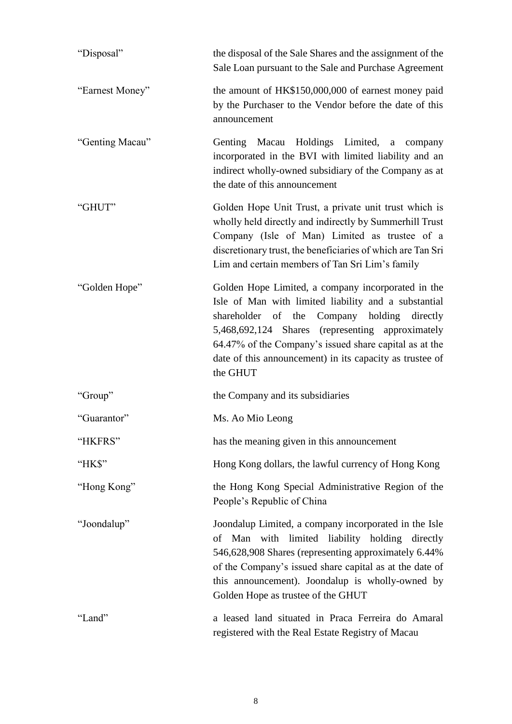| "Disposal"      | the disposal of the Sale Shares and the assignment of the<br>Sale Loan pursuant to the Sale and Purchase Agreement                                                                                                                                                                                                                                 |
|-----------------|----------------------------------------------------------------------------------------------------------------------------------------------------------------------------------------------------------------------------------------------------------------------------------------------------------------------------------------------------|
| "Earnest Money" | the amount of HK\$150,000,000 of earnest money paid<br>by the Purchaser to the Vendor before the date of this<br>announcement                                                                                                                                                                                                                      |
| "Genting Macau" | Genting Macau Holdings Limited,<br>a<br>company<br>incorporated in the BVI with limited liability and an<br>indirect wholly-owned subsidiary of the Company as at<br>the date of this announcement                                                                                                                                                 |
| "GHUT"          | Golden Hope Unit Trust, a private unit trust which is<br>wholly held directly and indirectly by Summerhill Trust<br>Company (Isle of Man) Limited as trustee of a<br>discretionary trust, the beneficiaries of which are Tan Sri<br>Lim and certain members of Tan Sri Lim's family                                                                |
| "Golden Hope"   | Golden Hope Limited, a company incorporated in the<br>Isle of Man with limited liability and a substantial<br>shareholder of the Company holding<br>directly<br>5,468,692,124 Shares (representing approximately<br>64.47% of the Company's issued share capital as at the<br>date of this announcement) in its capacity as trustee of<br>the GHUT |
| "Group"         | the Company and its subsidiaries                                                                                                                                                                                                                                                                                                                   |
| "Guarantor"     | Ms. Ao Mio Leong                                                                                                                                                                                                                                                                                                                                   |
| "HKFRS"         | has the meaning given in this announcement                                                                                                                                                                                                                                                                                                         |
| "HK\$"          | Hong Kong dollars, the lawful currency of Hong Kong                                                                                                                                                                                                                                                                                                |
| "Hong Kong"     | the Hong Kong Special Administrative Region of the<br>People's Republic of China                                                                                                                                                                                                                                                                   |
| "Joondalup"     | Joondalup Limited, a company incorporated in the Isle<br>of Man with limited liability holding directly<br>546,628,908 Shares (representing approximately 6.44%)<br>of the Company's issued share capital as at the date of<br>this announcement). Joondalup is wholly-owned by<br>Golden Hope as trustee of the GHUT                              |
| "Land"          | a leased land situated in Praca Ferreira do Amaral<br>registered with the Real Estate Registry of Macau                                                                                                                                                                                                                                            |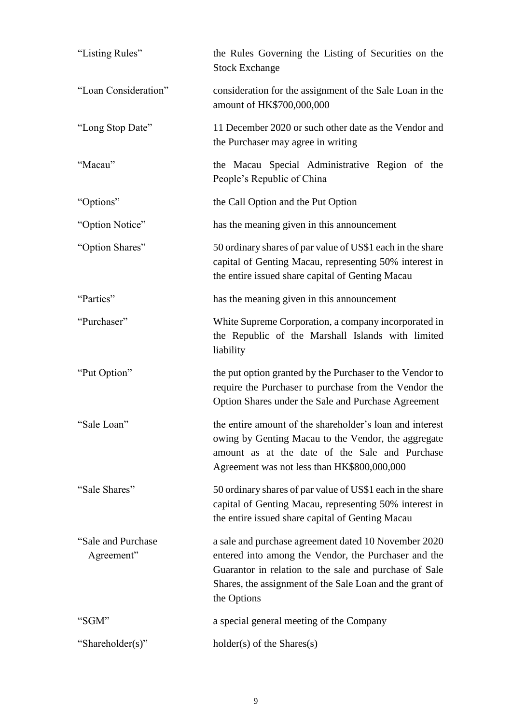| "Listing Rules"                   | the Rules Governing the Listing of Securities on the<br><b>Stock Exchange</b>                                                                                                                                                                     |
|-----------------------------------|---------------------------------------------------------------------------------------------------------------------------------------------------------------------------------------------------------------------------------------------------|
| "Loan Consideration"              | consideration for the assignment of the Sale Loan in the<br>amount of HK\$700,000,000                                                                                                                                                             |
| "Long Stop Date"                  | 11 December 2020 or such other date as the Vendor and<br>the Purchaser may agree in writing                                                                                                                                                       |
| "Macau"                           | the Macau Special Administrative Region of the<br>People's Republic of China                                                                                                                                                                      |
| "Options"                         | the Call Option and the Put Option                                                                                                                                                                                                                |
| "Option Notice"                   | has the meaning given in this announcement                                                                                                                                                                                                        |
| "Option Shares"                   | 50 ordinary shares of par value of US\$1 each in the share<br>capital of Genting Macau, representing 50% interest in<br>the entire issued share capital of Genting Macau                                                                          |
| "Parties"                         | has the meaning given in this announcement                                                                                                                                                                                                        |
| "Purchaser"                       | White Supreme Corporation, a company incorporated in<br>the Republic of the Marshall Islands with limited<br>liability                                                                                                                            |
| "Put Option"                      | the put option granted by the Purchaser to the Vendor to<br>require the Purchaser to purchase from the Vendor the<br>Option Shares under the Sale and Purchase Agreement                                                                          |
| "Sale Loan"                       | the entire amount of the shareholder's loan and interest<br>owing by Genting Macau to the Vendor, the aggregate<br>amount as at the date of the Sale and Purchase<br>Agreement was not less than HK\$800,000,000                                  |
| "Sale Shares"                     | 50 ordinary shares of par value of US\$1 each in the share<br>capital of Genting Macau, representing 50% interest in<br>the entire issued share capital of Genting Macau                                                                          |
| "Sale and Purchase"<br>Agreement" | a sale and purchase agreement dated 10 November 2020<br>entered into among the Vendor, the Purchaser and the<br>Guarantor in relation to the sale and purchase of Sale<br>Shares, the assignment of the Sale Loan and the grant of<br>the Options |
| "SGM"                             | a special general meeting of the Company                                                                                                                                                                                                          |
| "Shareholder(s)"                  | $holder(s)$ of the Shares $(s)$                                                                                                                                                                                                                   |